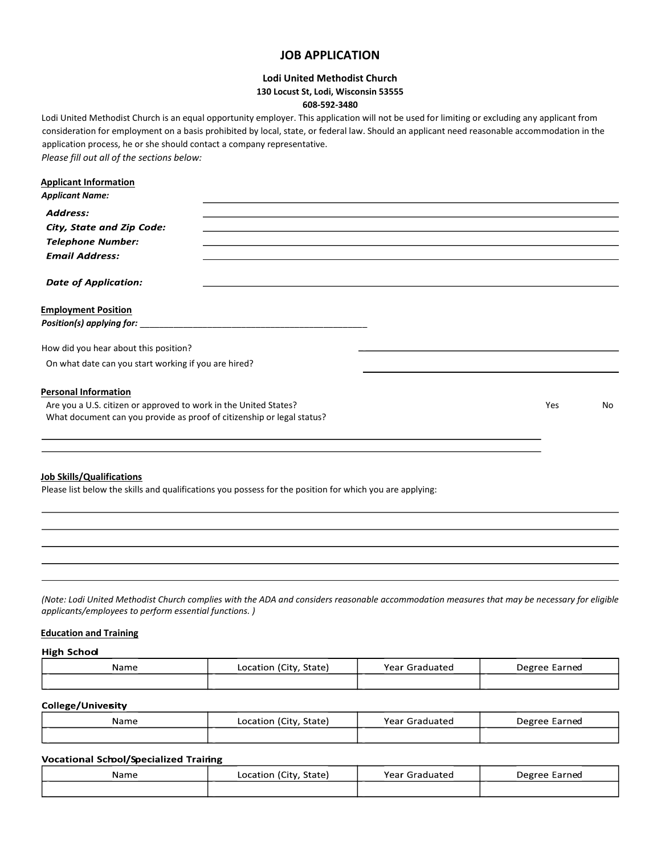# **JOB APPLICATION**

# **Lodi United Methodist Church 130 Locust St, Lodi, Wisconsin 53555 608-592-3480**

Lodi United Methodist Church is an equal opportunity employer. This application will not be used for limiting or excluding any applicant from consideration for employment on a basis prohibited by local, state, or federal law. Should an applicant need reasonable accommodation in the application process, he or she should contact a company representative. *Please fill out all of the sections below:*

# **Applicant Information**

| <b>Applicant Name:</b>                                                 |     |    |
|------------------------------------------------------------------------|-----|----|
| Address:                                                               |     |    |
| City, State and Zip Code:                                              |     |    |
| <b>Telephone Number:</b>                                               |     |    |
| <b>Email Address:</b>                                                  |     |    |
| <b>Date of Application:</b>                                            |     |    |
| <b>Employment Position</b>                                             |     |    |
|                                                                        |     |    |
| How did you hear about this position?                                  |     |    |
| On what date can you start working if you are hired?                   |     |    |
| <b>Personal Information</b>                                            |     |    |
| Are you a U.S. citizen or approved to work in the United States?       | Yes | No |
| What document can you provide as proof of citizenship or legal status? |     |    |
|                                                                        |     |    |

#### **Job Skills/Qualifications**

Please list below the skills and qualifications you possess for the position for which you are applying:

*(Note: Lodi United Methodist Church complies with the ADA and considers reasonable accommodation measures that may be necessary for eligible applicants/employees to perform essential functions. )*

## **Education and Training**

**High School** 

| Name | Location (City, State) | Year Graduated | Degree Earned |
|------|------------------------|----------------|---------------|
| _    |                        |                |               |

#### College/Univesity

| Name | Location (City, State) | Year Graduated | Degree Earned |
|------|------------------------|----------------|---------------|
| _    |                        |                |               |

# **Vocational School/Specialized Training**

| Name | Location (City, State) | Year Graduated | Degree Earned |
|------|------------------------|----------------|---------------|
|      |                        |                |               |